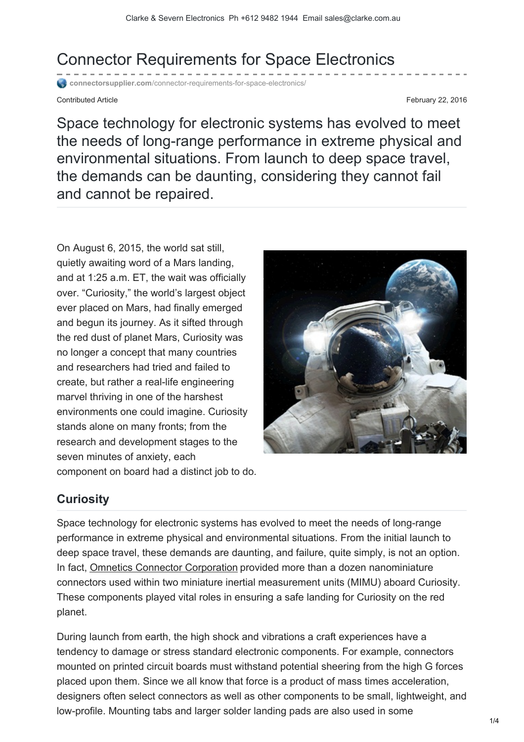Connector Requirements for Space Electronics

**connectorsupplier.com**[/connector-requirements-for-space-electronics/](http://www.connectorsupplier.com/connector-requirements-for-space-electronics/)

Contributed Article **February 22, 2016** 

Space technology for electronic systems has evolved to meet the needs of long-range performance in extreme physical and environmental situations. From launch to deep space travel, the demands can be daunting, considering they cannot fail and cannot be repaired.

On August 6, 2015, the world sat still, quietly awaiting word of a Mars landing, and at 1:25 a.m. ET, the wait was officially over. "Curiosity," the world's largest object ever placed on Mars, had finally emerged and begun its journey. As it sifted through the red dust of planet Mars, Curiosity was no longer a concept that many countries and researchers had tried and failed to create, but rather a real-life engineering marvel thriving in one of the harshest environments one could imagine. Curiosity stands alone on many fronts; from the research and development stages to the seven minutes of anxiety, each component on board had a distinct job to do.



## **Curiosity**

Space technology for electronic systems has evolved to meet the needs of long-range performance in extreme physical and environmental situations. From the initial launch to deep space travel, these demands are daunting, and failure, quite simply, is not an option. In fact, [Omnetics Connector Corporation](http://www.omnetics.com/) provided more than a dozen nanominiature connectors used within two miniature inertial measurement units (MIMU) aboard Curiosity. These components played vital roles in ensuring a safe landing for Curiosity on the red planet.

During launch from earth, the high shock and vibrations a craft experiences have a tendency to damage or stress standard electronic components. For example, connectors mounted on printed circuit boards must withstand potential sheering from the high G forces placed upon them. Since we all know that force is a product of mass times acceleration, designers often select connectors as well as other components to be small, lightweight, and low-profile. Mounting tabs and larger solder landing pads are also used in some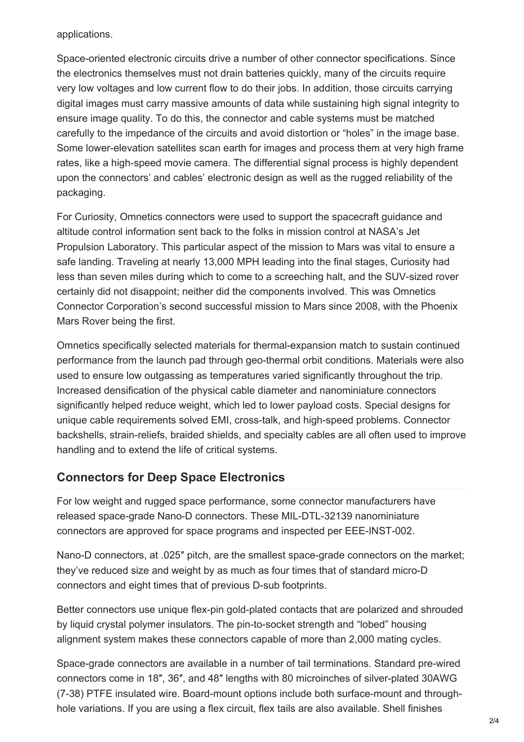applications.

Space-oriented electronic circuits drive a number of other connector specifications. Since the electronics themselves must not drain batteries quickly, many of the circuits require very low voltages and low current flow to do their jobs. In addition, those circuits carrying digital images must carry massive amounts of data while sustaining high signal integrity to ensure image quality. To do this, the connector and cable systems must be matched carefully to the impedance of the circuits and avoid distortion or "holes" in the image base. Some lower-elevation satellites scan earth for images and process them at very high frame rates, like a high-speed movie camera. The differential signal process is highly dependent upon the connectors' and cables' electronic design as well as the rugged reliability of the packaging.

For Curiosity, Omnetics connectors were used to support the spacecraft guidance and altitude control information sent back to the folks in mission control at NASA's Jet Propulsion Laboratory. This particular aspect of the mission to Mars was vital to ensure a safe landing. Traveling at nearly 13,000 MPH leading into the final stages, Curiosity had less than seven miles during which to come to a screeching halt, and the SUV-sized rover certainly did not disappoint; neither did the components involved. This was Omnetics Connector Corporation's second successful mission to Mars since 2008, with the Phoenix Mars Rover being the first.

Omnetics specifically selected materials for thermal-expansion match to sustain continued performance from the launch pad through geo-thermal orbit conditions. Materials were also used to ensure low outgassing as temperatures varied significantly throughout the trip. Increased densification of the physical cable diameter and nanominiature connectors significantly helped reduce weight, which led to lower payload costs. Special designs for unique cable requirements solved EMI, cross-talk, and high-speed problems. Connector backshells, strain-reliefs, braided shields, and specialty cables are all often used to improve handling and to extend the life of critical systems.

## **Connectors for Deep Space Electronics**

For low weight and rugged space performance, some connector manufacturers have released space-grade Nano-D connectors. These MIL-DTL-32139 nanominiature connectors are approved for space programs and inspected per EEE-INST-002.

Nano-D connectors, at .025″ pitch, are the smallest space-grade connectors on the market; they've reduced size and weight by as much as four times that of standard micro-D connectors and eight times that of previous D-sub footprints.

Better connectors use unique flex-pin gold-plated contacts that are polarized and shrouded by liquid crystal polymer insulators. The pin-to-socket strength and "lobed" housing alignment system makes these connectors capable of more than 2,000 mating cycles.

Space-grade connectors are available in a number of tail terminations. Standard pre-wired connectors come in 18″, 36″, and 48″ lengths with 80 microinches of silver-plated 30AWG (7-38) PTFE insulated wire. Board-mount options include both surface-mount and throughhole variations. If you are using a flex circuit, flex tails are also available. Shell finishes